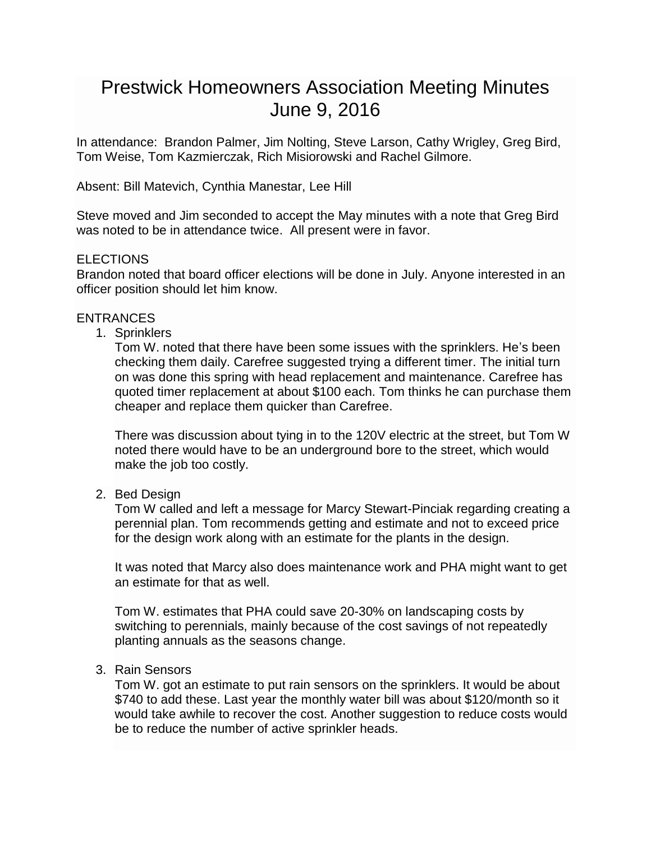# Prestwick Homeowners Association Meeting Minutes June 9, 2016

In attendance: Brandon Palmer, Jim Nolting, Steve Larson, Cathy Wrigley, Greg Bird, Tom Weise, Tom Kazmierczak, Rich Misiorowski and Rachel Gilmore.

Absent: Bill Matevich, Cynthia Manestar, Lee Hill

Steve moved and Jim seconded to accept the May minutes with a note that Greg Bird was noted to be in attendance twice. All present were in favor.

## ELECTIONS

Brandon noted that board officer elections will be done in July. Anyone interested in an officer position should let him know.

## **ENTRANCES**

1. Sprinklers

Tom W. noted that there have been some issues with the sprinklers. He's been checking them daily. Carefree suggested trying a different timer. The initial turn on was done this spring with head replacement and maintenance. Carefree has quoted timer replacement at about \$100 each. Tom thinks he can purchase them cheaper and replace them quicker than Carefree.

There was discussion about tying in to the 120V electric at the street, but Tom W noted there would have to be an underground bore to the street, which would make the job too costly.

2. Bed Design

Tom W called and left a message for Marcy Stewart-Pinciak regarding creating a perennial plan. Tom recommends getting and estimate and not to exceed price for the design work along with an estimate for the plants in the design.

It was noted that Marcy also does maintenance work and PHA might want to get an estimate for that as well.

Tom W. estimates that PHA could save 20-30% on landscaping costs by switching to perennials, mainly because of the cost savings of not repeatedly planting annuals as the seasons change.

3. Rain Sensors

Tom W. got an estimate to put rain sensors on the sprinklers. It would be about \$740 to add these. Last year the monthly water bill was about \$120/month so it would take awhile to recover the cost. Another suggestion to reduce costs would be to reduce the number of active sprinkler heads.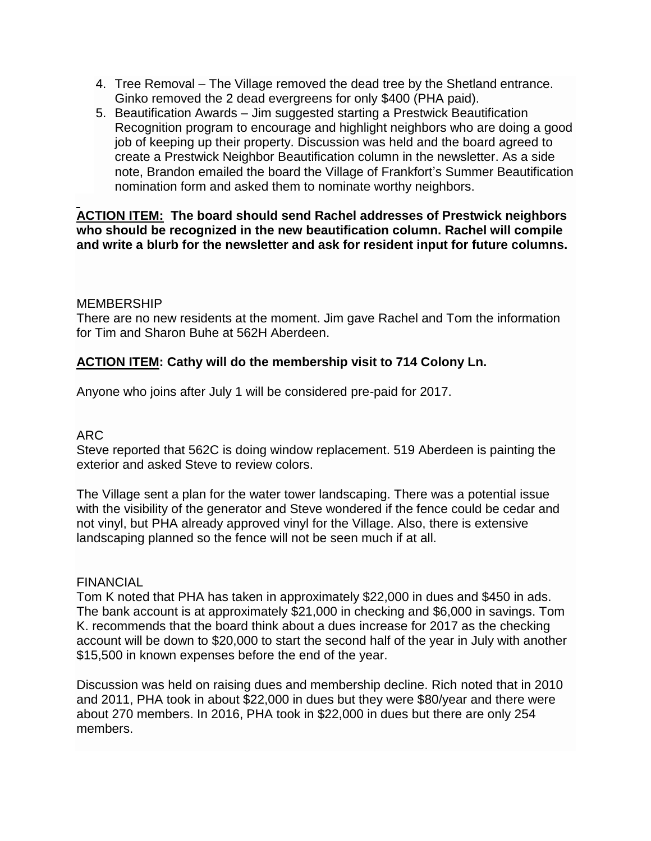- 4. Tree Removal The Village removed the dead tree by the Shetland entrance. Ginko removed the 2 dead evergreens for only \$400 (PHA paid).
- 5. Beautification Awards Jim suggested starting a Prestwick Beautification Recognition program to encourage and highlight neighbors who are doing a good job of keeping up their property. Discussion was held and the board agreed to create a Prestwick Neighbor Beautification column in the newsletter. As a side note, Brandon emailed the board the Village of Frankfort's Summer Beautification nomination form and asked them to nominate worthy neighbors.

## **ACTION ITEM: The board should send Rachel addresses of Prestwick neighbors who should be recognized in the new beautification column. Rachel will compile and write a blurb for the newsletter and ask for resident input for future columns.**

#### MEMBERSHIP

There are no new residents at the moment. Jim gave Rachel and Tom the information for Tim and Sharon Buhe at 562H Aberdeen.

# **ACTION ITEM: Cathy will do the membership visit to 714 Colony Ln.**

Anyone who joins after July 1 will be considered pre-paid for 2017.

## ARC

Steve reported that 562C is doing window replacement. 519 Aberdeen is painting the exterior and asked Steve to review colors.

The Village sent a plan for the water tower landscaping. There was a potential issue with the visibility of the generator and Steve wondered if the fence could be cedar and not vinyl, but PHA already approved vinyl for the Village. Also, there is extensive landscaping planned so the fence will not be seen much if at all.

#### **FINANCIAL**

Tom K noted that PHA has taken in approximately \$22,000 in dues and \$450 in ads. The bank account is at approximately \$21,000 in checking and \$6,000 in savings. Tom K. recommends that the board think about a dues increase for 2017 as the checking account will be down to \$20,000 to start the second half of the year in July with another \$15,500 in known expenses before the end of the year.

Discussion was held on raising dues and membership decline. Rich noted that in 2010 and 2011, PHA took in about \$22,000 in dues but they were \$80/year and there were about 270 members. In 2016, PHA took in \$22,000 in dues but there are only 254 members.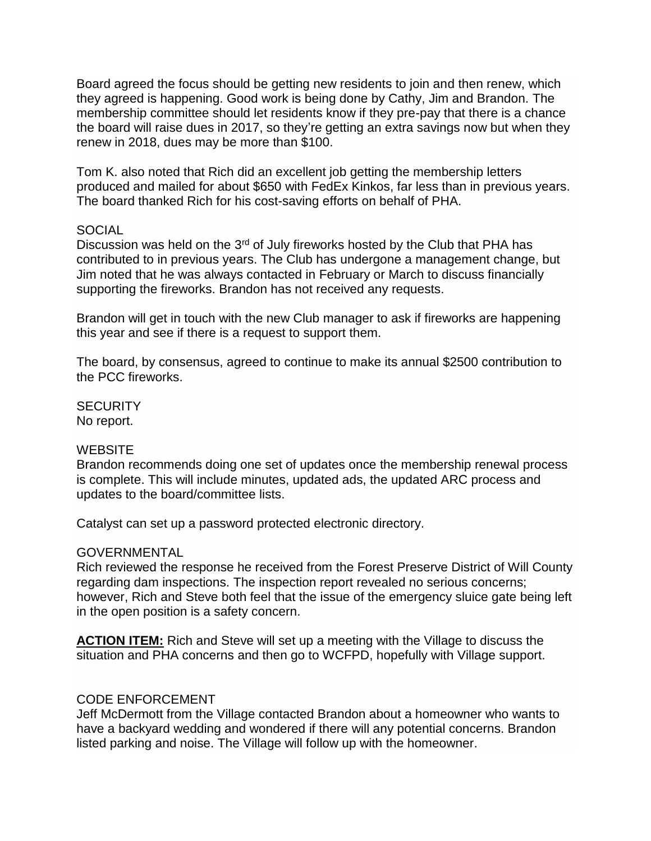Board agreed the focus should be getting new residents to join and then renew, which they agreed is happening. Good work is being done by Cathy, Jim and Brandon. The membership committee should let residents know if they pre-pay that there is a chance the board will raise dues in 2017, so they're getting an extra savings now but when they renew in 2018, dues may be more than \$100.

Tom K. also noted that Rich did an excellent job getting the membership letters produced and mailed for about \$650 with FedEx Kinkos, far less than in previous years. The board thanked Rich for his cost-saving efforts on behalf of PHA.

#### SOCIAL

Discussion was held on the 3<sup>rd</sup> of July fireworks hosted by the Club that PHA has contributed to in previous years. The Club has undergone a management change, but Jim noted that he was always contacted in February or March to discuss financially supporting the fireworks. Brandon has not received any requests.

Brandon will get in touch with the new Club manager to ask if fireworks are happening this year and see if there is a request to support them.

The board, by consensus, agreed to continue to make its annual \$2500 contribution to the PCC fireworks.

**SECURITY** No report.

#### **WEBSITE**

Brandon recommends doing one set of updates once the membership renewal process is complete. This will include minutes, updated ads, the updated ARC process and updates to the board/committee lists.

Catalyst can set up a password protected electronic directory.

#### GOVERNMENTAL

Rich reviewed the response he received from the Forest Preserve District of Will County regarding dam inspections. The inspection report revealed no serious concerns; however, Rich and Steve both feel that the issue of the emergency sluice gate being left in the open position is a safety concern.

**ACTION ITEM:** Rich and Steve will set up a meeting with the Village to discuss the situation and PHA concerns and then go to WCFPD, hopefully with Village support.

#### CODE ENFORCEMENT

Jeff McDermott from the Village contacted Brandon about a homeowner who wants to have a backyard wedding and wondered if there will any potential concerns. Brandon listed parking and noise. The Village will follow up with the homeowner.